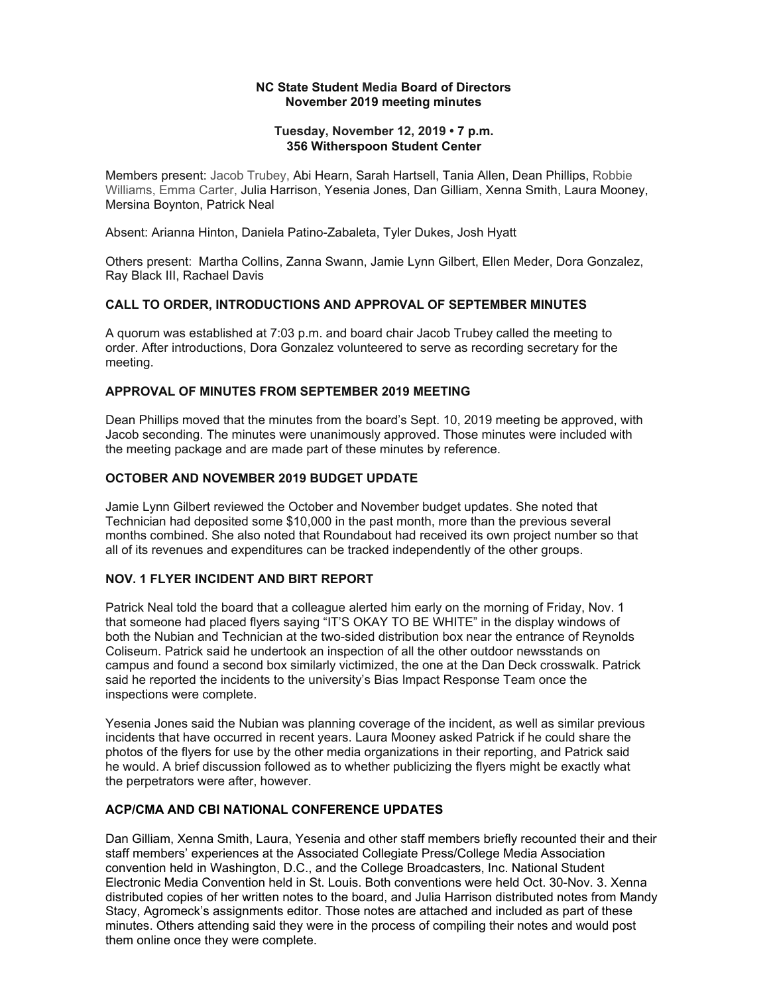### **NC State Student Media Board of Directors November 2019 meeting minutes**

### **Tuesday, November 12, 2019 • 7 p.m. 356 Witherspoon Student Center**

Members present: Jacob Trubey, Abi Hearn, Sarah Hartsell, Tania Allen, Dean Phillips, Robbie Williams, Emma Carter, Julia Harrison, Yesenia Jones, Dan Gilliam, Xenna Smith, Laura Mooney, Mersina Boynton, Patrick Neal

Absent: Arianna Hinton, Daniela Patino-Zabaleta, Tyler Dukes, Josh Hyatt

Others present: Martha Collins, Zanna Swann, Jamie Lynn Gilbert, Ellen Meder, Dora Gonzalez, Ray Black III, Rachael Davis

### **CALL TO ORDER, INTRODUCTIONS AND APPROVAL OF SEPTEMBER MINUTES**

A quorum was established at 7:03 p.m. and board chair Jacob Trubey called the meeting to order. After introductions, Dora Gonzalez volunteered to serve as recording secretary for the meeting.

### **APPROVAL OF MINUTES FROM SEPTEMBER 2019 MEETING**

Dean Phillips moved that the minutes from the board's Sept. 10, 2019 meeting be approved, with Jacob seconding. The minutes were unanimously approved. Those minutes were included with the meeting package and are made part of these minutes by reference.

### **OCTOBER AND NOVEMBER 2019 BUDGET UPDATE**

Jamie Lynn Gilbert reviewed the October and November budget updates. She noted that Technician had deposited some \$10,000 in the past month, more than the previous several months combined. She also noted that Roundabout had received its own project number so that all of its revenues and expenditures can be tracked independently of the other groups.

### **NOV. 1 FLYER INCIDENT AND BIRT REPORT**

Patrick Neal told the board that a colleague alerted him early on the morning of Friday, Nov. 1 that someone had placed flyers saying "IT'S OKAY TO BE WHITE" in the display windows of both the Nubian and Technician at the two-sided distribution box near the entrance of Reynolds Coliseum. Patrick said he undertook an inspection of all the other outdoor newsstands on campus and found a second box similarly victimized, the one at the Dan Deck crosswalk. Patrick said he reported the incidents to the university's Bias Impact Response Team once the inspections were complete.

Yesenia Jones said the Nubian was planning coverage of the incident, as well as similar previous incidents that have occurred in recent years. Laura Mooney asked Patrick if he could share the photos of the flyers for use by the other media organizations in their reporting, and Patrick said he would. A brief discussion followed as to whether publicizing the flyers might be exactly what the perpetrators were after, however.

### **ACP/CMA AND CBI NATIONAL CONFERENCE UPDATES**

Dan Gilliam, Xenna Smith, Laura, Yesenia and other staff members briefly recounted their and their staff members' experiences at the Associated Collegiate Press/College Media Association convention held in Washington, D.C., and the College Broadcasters, Inc. National Student Electronic Media Convention held in St. Louis. Both conventions were held Oct. 30-Nov. 3. Xenna distributed copies of her written notes to the board, and Julia Harrison distributed notes from Mandy Stacy, Agromeck's assignments editor. Those notes are attached and included as part of these minutes. Others attending said they were in the process of compiling their notes and would post them online once they were complete.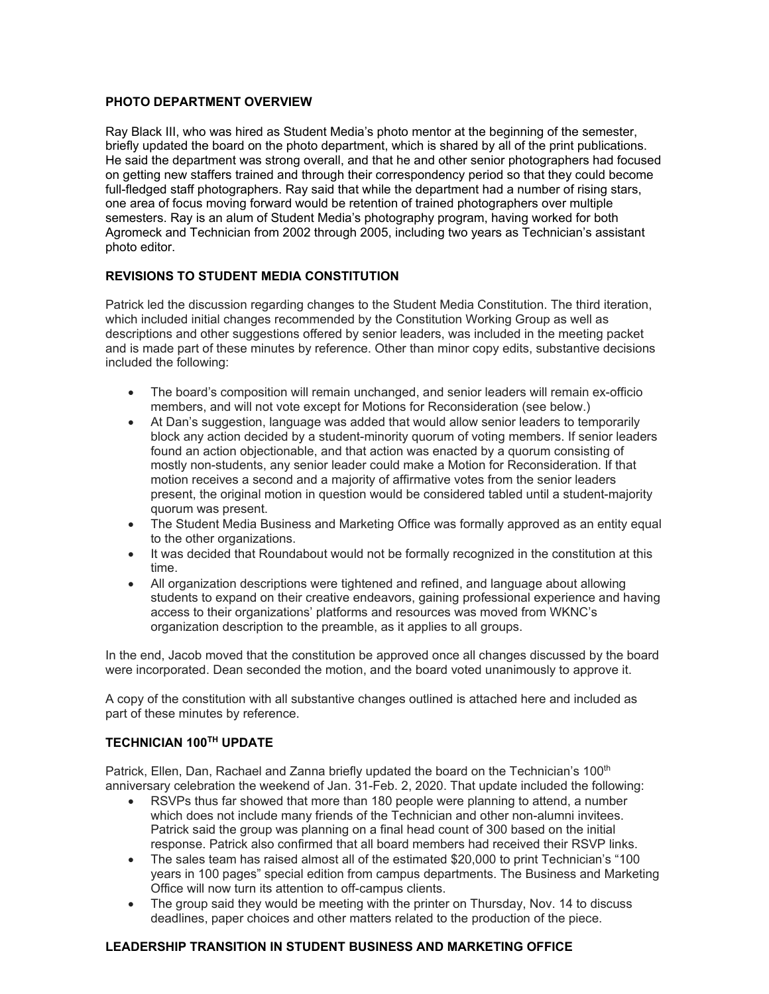### **PHOTO DEPARTMENT OVERVIEW**

Ray Black III, who was hired as Student Media's photo mentor at the beginning of the semester, briefly updated the board on the photo department, which is shared by all of the print publications. He said the department was strong overall, and that he and other senior photographers had focused on getting new staffers trained and through their correspondency period so that they could become full-fledged staff photographers. Ray said that while the department had a number of rising stars, one area of focus moving forward would be retention of trained photographers over multiple semesters. Ray is an alum of Student Media's photography program, having worked for both Agromeck and Technician from 2002 through 2005, including two years as Technician's assistant photo editor.

### **REVISIONS TO STUDENT MEDIA CONSTITUTION**

Patrick led the discussion regarding changes to the Student Media Constitution. The third iteration, which included initial changes recommended by the Constitution Working Group as well as descriptions and other suggestions offered by senior leaders, was included in the meeting packet and is made part of these minutes by reference. Other than minor copy edits, substantive decisions included the following:

- The board's composition will remain unchanged, and senior leaders will remain ex-officio members, and will not vote except for Motions for Reconsideration (see below.)
- At Dan's suggestion, language was added that would allow senior leaders to temporarily block any action decided by a student-minority quorum of voting members. If senior leaders found an action objectionable, and that action was enacted by a quorum consisting of mostly non-students, any senior leader could make a Motion for Reconsideration. If that motion receives a second and a majority of affirmative votes from the senior leaders present, the original motion in question would be considered tabled until a student-majority quorum was present.
- The Student Media Business and Marketing Office was formally approved as an entity equal to the other organizations.
- It was decided that Roundabout would not be formally recognized in the constitution at this time.
- All organization descriptions were tightened and refined, and language about allowing students to expand on their creative endeavors, gaining professional experience and having access to their organizations' platforms and resources was moved from WKNC's organization description to the preamble, as it applies to all groups.

In the end, Jacob moved that the constitution be approved once all changes discussed by the board were incorporated. Dean seconded the motion, and the board voted unanimously to approve it.

A copy of the constitution with all substantive changes outlined is attached here and included as part of these minutes by reference.

### **TECHNICIAN 100TH UPDATE**

Patrick, Ellen, Dan, Rachael and Zanna briefly updated the board on the Technician's 100<sup>th</sup> anniversary celebration the weekend of Jan. 31-Feb. 2, 2020. That update included the following:

- RSVPs thus far showed that more than 180 people were planning to attend, a number which does not include many friends of the Technician and other non-alumni invitees. Patrick said the group was planning on a final head count of 300 based on the initial response. Patrick also confirmed that all board members had received their RSVP links.
- The sales team has raised almost all of the estimated \$20,000 to print Technician's "100 years in 100 pages" special edition from campus departments. The Business and Marketing Office will now turn its attention to off-campus clients.
- The group said they would be meeting with the printer on Thursday, Nov. 14 to discuss deadlines, paper choices and other matters related to the production of the piece.

### **LEADERSHIP TRANSITION IN STUDENT BUSINESS AND MARKETING OFFICE**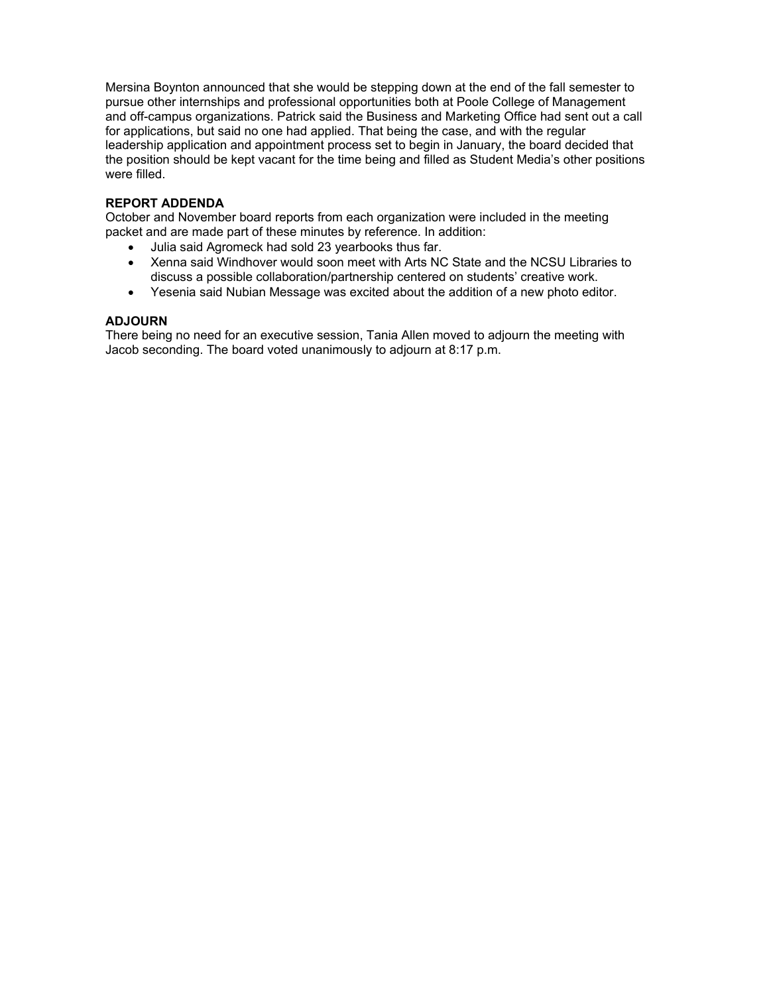Mersina Boynton announced that she would be stepping down at the end of the fall semester to pursue other internships and professional opportunities both at Poole College of Management and off-campus organizations. Patrick said the Business and Marketing Office had sent out a call for applications, but said no one had applied. That being the case, and with the regular leadership application and appointment process set to begin in January, the board decided that the position should be kept vacant for the time being and filled as Student Media's other positions were filled.

### **REPORT ADDENDA**

October and November board reports from each organization were included in the meeting packet and are made part of these minutes by reference. In addition:

- Julia said Agromeck had sold 23 yearbooks thus far.
- Xenna said Windhover would soon meet with Arts NC State and the NCSU Libraries to discuss a possible collaboration/partnership centered on students' creative work.
- Yesenia said Nubian Message was excited about the addition of a new photo editor.

### **ADJOURN**

There being no need for an executive session, Tania Allen moved to adjourn the meeting with Jacob seconding. The board voted unanimously to adjourn at 8:17 p.m.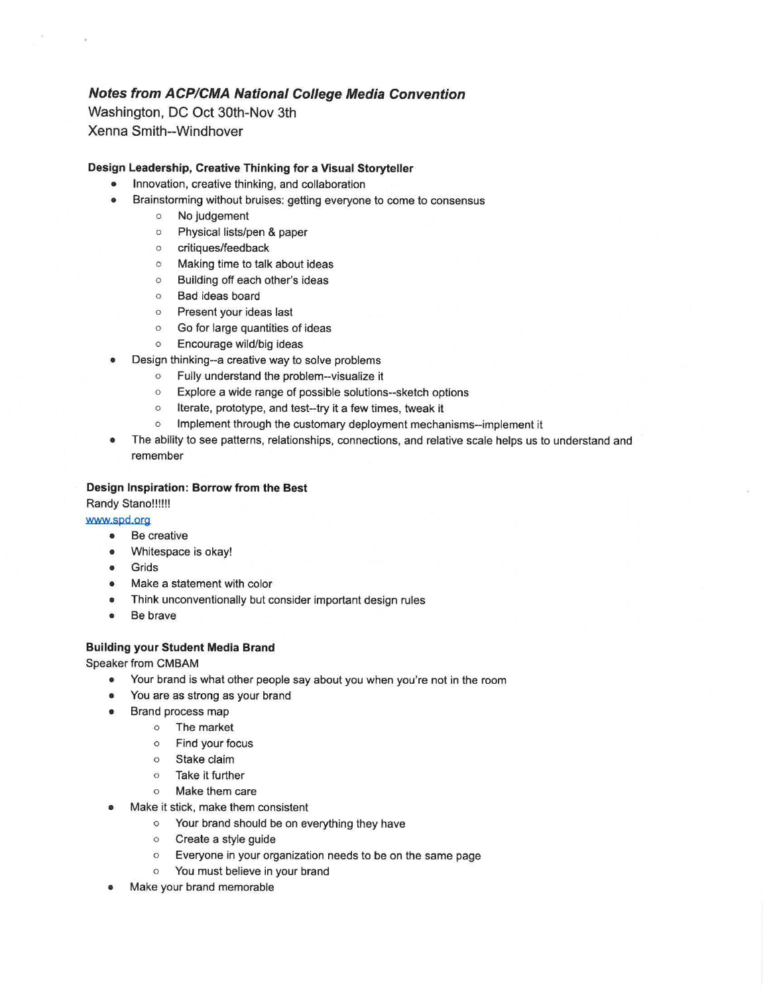### **Notes from ACP/CMA National College Media Convention**

Washington, DC Oct 30th-Nov 3th Xenna Smith--Windhover

### **Design Leadership, Creative Thinking for a Visual Storyteller**

- Innovation, creative thinking, and collaboration
- Brainstorming without bruises: getting everyone to come to consensus
	- o No judgement
	- o Physical lists/pen & paper
	- 0 critiques/feedback
	- 0 Making time to talk about ideas
	- 0 Building off each other's ideas
	- 0 Bad ideas board
	- 0 Present your ideas last
	- 0 Go for large quantities of ideas
	- 0 Encourage wild/big ideas
- Design thinking--a creative way to solve problems
	- o Fully understand the problem--visualize it
	- o Explore a wide range of possible solutions--sketch options
	- o Iterate, prototype, and test--try it a few times, tweak it
	- o Implement through the customary deployment mechanisms--implement it
- The ability to see patterns, relationships, connections, and relative scale helps us to understand and remember

### **Design Inspiration: Borrow from the Best**

Randy Stano!!!!!!

www.spd.org

- Be creative
- Whitespace is okay!
- **Grids**
- Make a statement with color
- Think unconventionally but consider important design rules
- Be brave

### **Building your Student Media Brand**

Speaker from CMBAM

- Your brand is what other people say about you when you're not in the room
- You are as strong as your brand
- Brand process map
	- o The market
	- o Find your focus
	- o Stake claim
	- o Take it further
	- o Make them care
- Make it stick, make them consistent
	- o Your brand should be on everything they have
	- o Create a style guide
	- o Everyone in your organization needs to be on the same page
	- o You must believe in your brand
- Make your brand memorable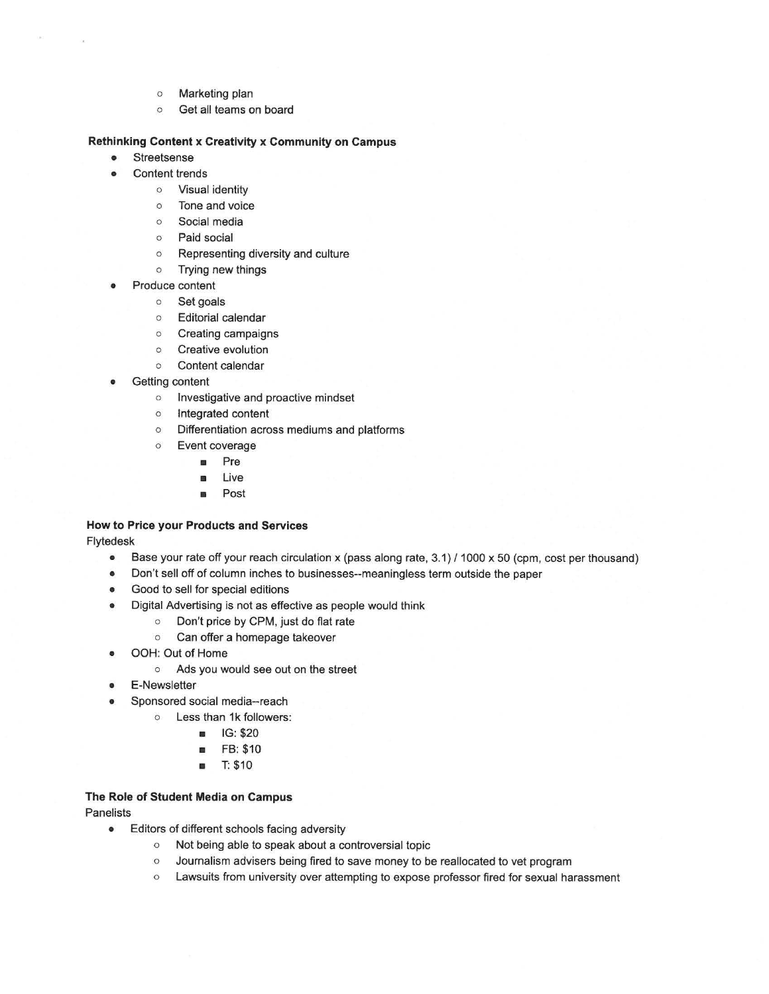- o Marketing plan
- o Get all teams on board

### **Rethinking Content x Creativity x Community on Campus**

- Streetsense
- Content trends
	- o Visual identity
	- o Tone and voice
	- o Social media
	- o Paid social
	- o Representing diversity and culture
	- o Trying new things
- Produce content
	- o Set goals
	- o Editorial calendar
	- o Creating campaigns
	- o Creative evolution
	- o Content calendar
- Getting content
	- o Investigative and proactive mindset
	- o Integrated content
	- o Differentiation across mediums and platforms
	- o Event coverage
		- Pre
		- **Live**
		- Post

## **How to Price your Products and Services**

Flytedesk

- Base your rate off your reach circulation x (pass along rate, 3.1) / 1000 x 50 (cpm, cost per thousand)
- Don't sell off of column inches to businesses--meaningless term outside the paper
- Good to sell for special editions
- Digital Advertising is not as effective as people would think
	- o Don't price by CPM, just do flat rate
	- o Can offer a homepage takeover
- OOH: Out of Home
	- o Ads you would see out on the street
- E-Newsletter
	- Sponsored social media--reach
		- o Less than 1k followers:
			- **a** IG: \$20
			- FB: \$10
			- T: \$10

### **The Role of Student Media on Campus**

**Panelists** 

- Editors of different schools facing adversity
	- o Not being able to speak about a controversial topic
	- o Journalism advisers being fired to save money to be reallocated to vet program
	- o Lawsuits from university over attempting to expose professor fired for sexual harassment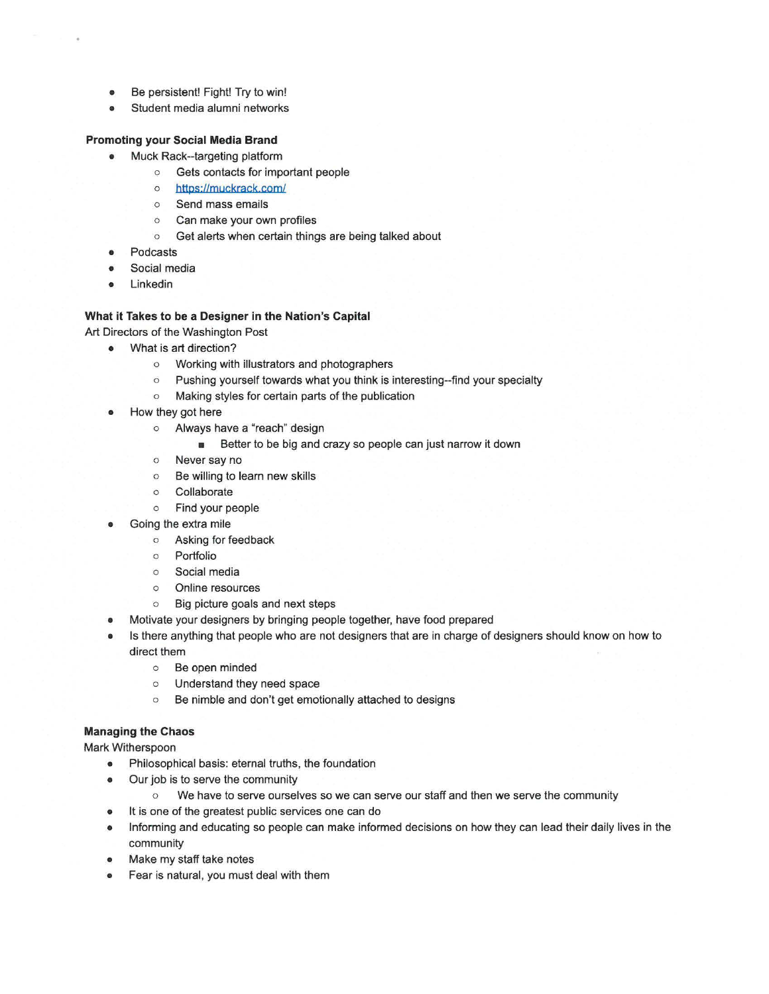- Be persistent! Fight! Try to win!
- Student media alumni networks

### **Promoting your Social Media Brand**

- Muck Rack--targeting platform
	- o Gets contacts for important people
	- o https://muckrack.com/
	- o Send mass emails
	- o Can make your own profiles
	- o Get alerts when certain things are being talked about
- **Podcasts**
- Social media
- Linkedin

### **What it Takes to be a Designer in the Nation's Capital**

Art Directors of the Washington Post

- What is art direction?
	- o Working with illustrators and photographers
	- o Pushing yourself towards what you think is interesting--find your specialty
	- o Making styles for certain parts of the publication
	- How they got here
		- o Always have a "reach" design
			- **Better to be big and crazy so people can just narrow it down**
		- o Never say no
		- o Be willing to learn new skills
		- o Collaborate
		- o Find your people
	- Going the extra mile
		- o Asking for feedback
		- o Portfolio
		- o Social media
		- o Online resources
		- o Big picture goals and next steps
	- Motivate your designers by bringing people together, have food prepared
	- Is there anything that people who are not designers that are in charge of designers should know on how to direct them
		- o Be open minded
		- o Understand they need space
		- o Be nimble and don't get emotionally attached to designs

### **Managing the Chaos**

Mark Witherspoon

- Philosophical basis: eternal truths, the foundation
- Our job is to serve the community
	- o We have to serve ourselves so we can serve our staff and then we serve the community
- It is one of the greatest public services one can do
- Informing and educating so people can make informed decisions on how they can lead their daily lives in the community
- Make my staff take notes
- Fear is natural, you must deal with them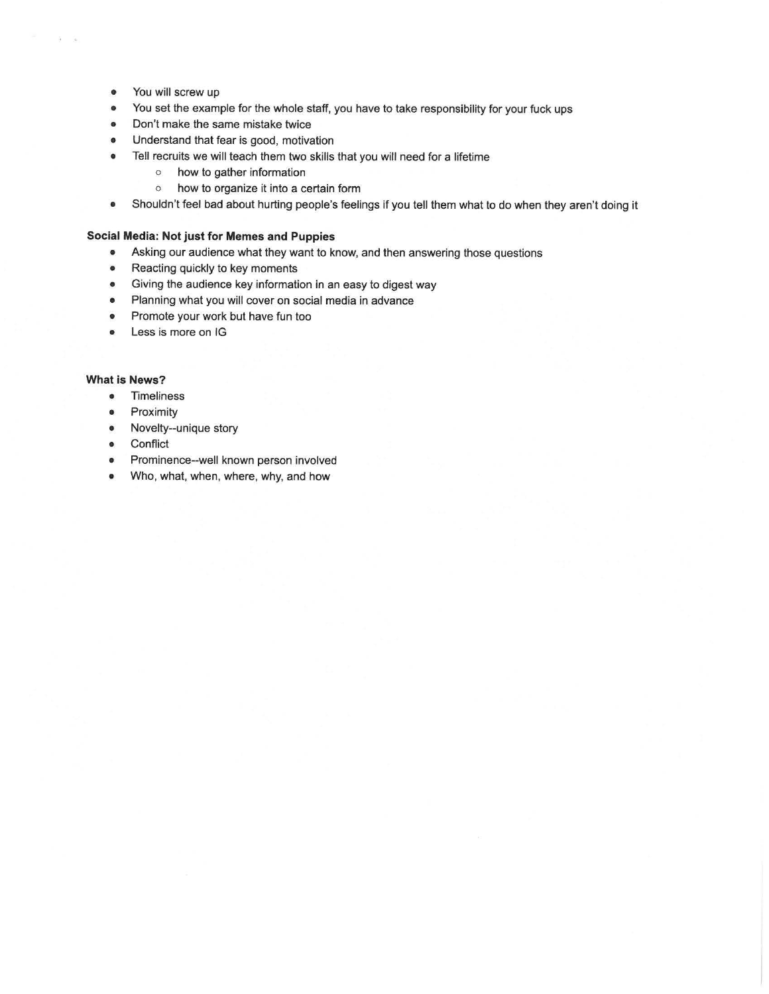• You will screw up

 $\tilde{a}$   $\tilde{a}$ 

- You set the example for the whole staff, you have to take responsibility for your fuck ups
- Don't make the same mistake twice
- Understand that fear is good, motivation
- Tell recruits we will teach them two **skills** that you will need for a lifetime
	- o how to gather information
	- o how to organize it into a certain form
- Shouldn't feel bad about hurting people's feelings if you tell them what to do when they aren't doing it

#### **Social Media: Not just for Memes and Puppies**

- Asking our audience what they want to know, and then answering those questions
- Reacting quickly to key moments
- Giving the audience key information in an easy to digest way
- Planning what you will cover on social media in advance
- Promote your work but have fun too
- Less is more on IG

### **What is News?**

- Timeliness
- Proximity
- Novelty--unique story
- **Conflict**
- Prominence--well known person involved
- Who, what, when, where, why, and how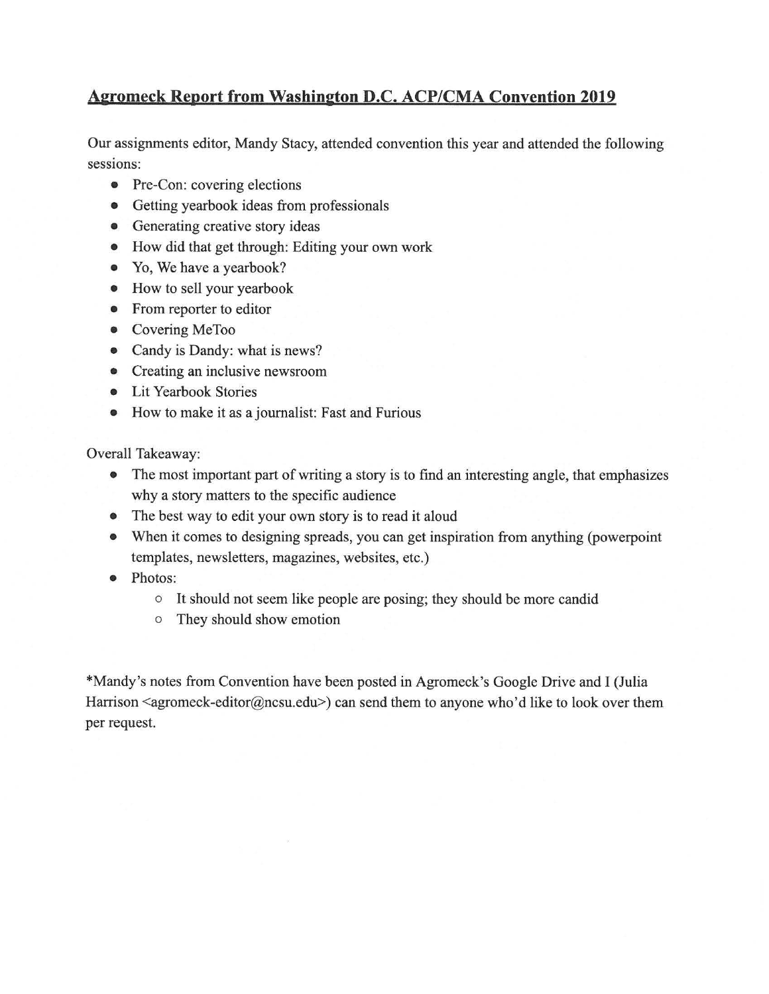## **Aeromeck Report from Washineton D.C. ACP/CMA Convention 2019**

Our assignments editor, Mandy Stacy, attended convention this year and attended the following sessions:

- Pre-Con: covering elections
- Getting yearbook ideas from professionals
- Generating creative story ideas
- How did that get through: Editing your own work
- Yo, We have a yearbook?
- How to sell your yearbook
- From reporter to editor
- Covering MeToo
- Candy is Dandy: what is news?
- Creating an inclusive newsroom
- Lit Yearbook Stories
- How to make it as a journalist: Fast and Furious

Overall Takeaway:

- The most important part of writing a story is to find an interesting angle, that emphasizes why a story matters to the specific audience
- The best way to edit your own story is to read it aloud
- When it comes to designing spreads, you can get inspiration from anything (powerpoint templates, newsletters, magazines, websites, etc.)
- Photos:
	- $\circ$  It should not seem like people are posing; they should be more candid
	- o They should show emotion

\*Mandy's notes from Convention have been posted in Agromeck's Google Drive and I (Julia Harrison  $\leq$ agromeck-editor@ncsu.edu>) can send them to anyone who'd like to look over them per request.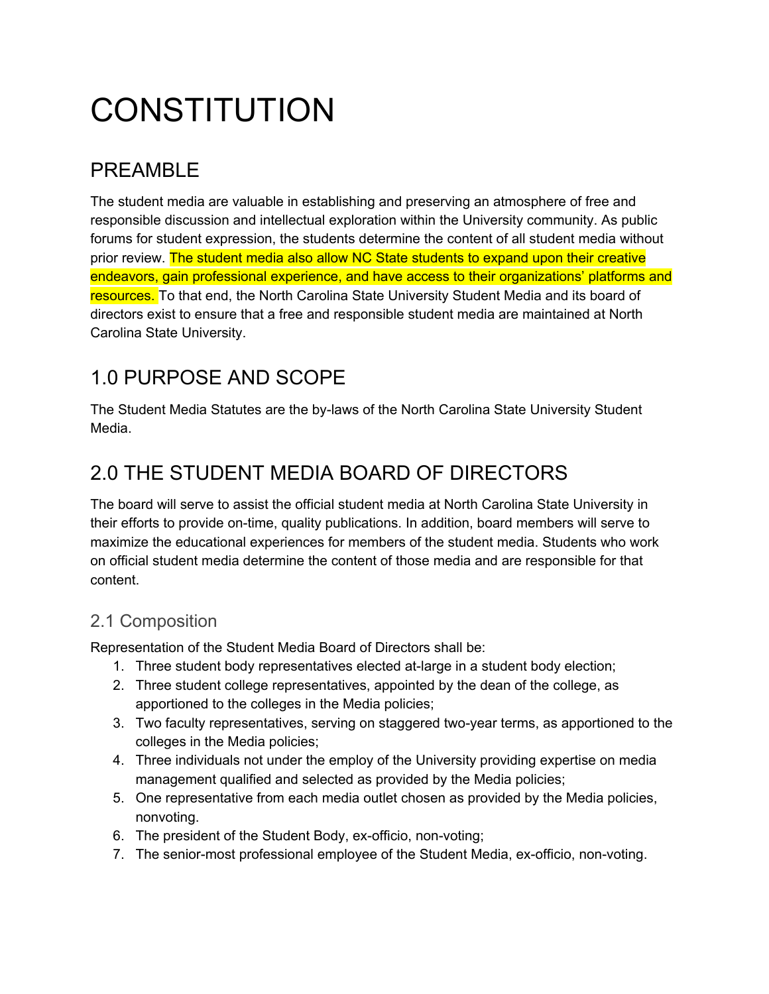# **CONSTITUTION**

# PREAMBLE

 The student media are valuable in establishing and preserving an atmosphere of free and responsible discussion and intellectual exploration within the University community. As public forums for student expression, the students determine the content of all student media without prior review. The student media also allow NC State students to expand upon their creative endeavors, gain professional experience, and have access to their organizations' platforms and resources. To that end, the North Carolina State University Student Media and its board of directors exist to ensure that a free and responsible student media are maintained at North Carolina State University.

# 1.0 PURPOSE AND SCOPE

 The Student Media Statutes are the by-laws of the North Carolina State University Student Media.

# 2.0 THE STUDENT MEDIA BOARD OF DIRECTORS

 The board will serve to assist the official student media at North Carolina State University in their efforts to provide on-time, quality publications. In addition, board members will serve to maximize the educational experiences for members of the student media. Students who work on official student media determine the content of those media and are responsible for that content.

## 2.1 Composition

Representation of the Student Media Board of Directors shall be:

- 1. Three student body representatives elected at-large in a student body election;
- 2. Three student college representatives, appointed by the dean of the college, as apportioned to the colleges in the Media policies;
- 3. Two faculty representatives, serving on staggered two-year terms, as apportioned to the colleges in the Media policies;
- 4. Three individuals not under the employ of the University providing expertise on media management qualified and selected as provided by the Media policies;
- 5. One representative from each media outlet chosen as provided by the Media policies, nonvoting.
- 6. The president of the Student Body, ex-officio, non-voting;
- 7. The senior-most professional employee of the Student Media, ex-officio, non-voting.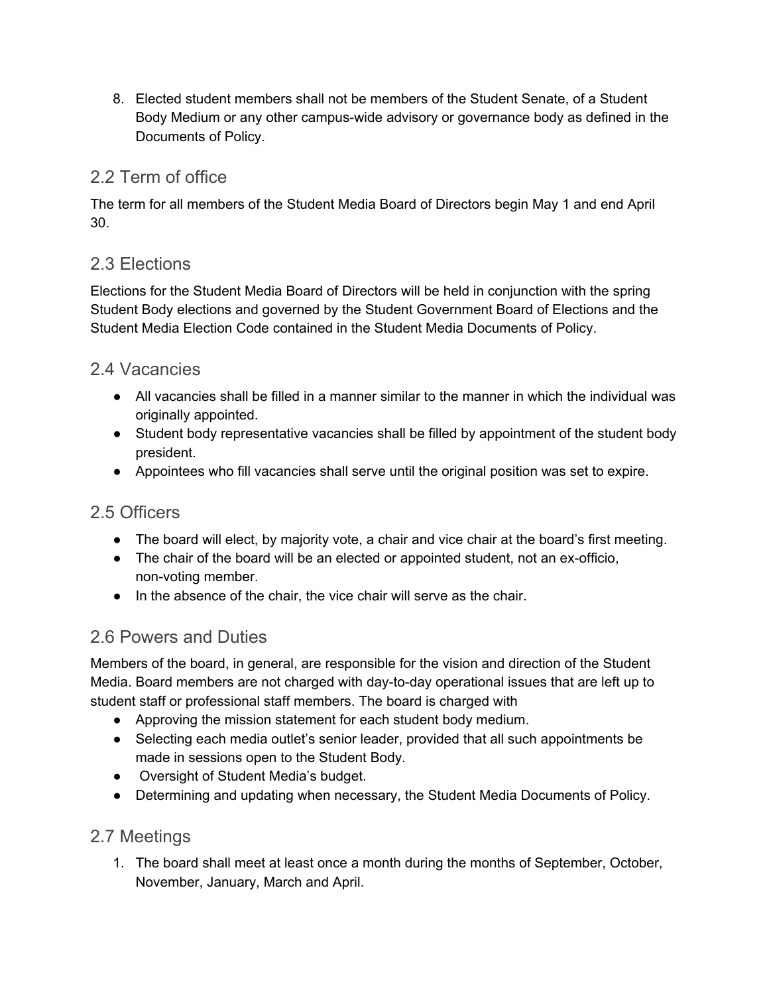8. Elected student members shall not be members of the Student Senate, of a Student Body Medium or any other campus-wide advisory or governance body as defined in the Documents of Policy.

## 2.2 Term of office

 The term for all members of the Student Media Board of Directors begin May 1 and end April 30.

## 2.3 Elections

 Elections for the Student Media Board of Directors will be held in conjunction with the spring Student Body elections and governed by the Student Government Board of Elections and the Student Media Election Code contained in the Student Media Documents of Policy.

## 2.4 Vacancies

- All vacancies shall be filled in a manner similar to the manner in which the individual was originally appointed.
- Student body representative vacancies shall be filled by appointment of the student body president.
- ● Appointees who fill vacancies shall serve until the original position was set to expire.

## 2.5 Officers

- The board will elect, by majority vote, a chair and vice chair at the board's first meeting.
- The chair of the board will be an elected or appointed student, not an ex-officio, non-voting member.
- In the absence of the chair, the vice chair will serve as the chair.

## 2.6 Powers and Duties

 Members of the board, in general, are responsible for the vision and direction of the Student Media. Board members are not charged with day-to-day operational issues that are left up to student staff or professional staff members. The board is charged with

- Approving the mission statement for each student body medium.
- Selecting each media outlet's senior leader, provided that all such appointments be made in sessions open to the Student Body.
- ● Oversight of Student Media's budget.
- Determining and updating when necessary, the Student Media Documents of Policy.

## 2.7 Meetings

1. The board shall meet at least once a month during the months of September, October, November, January, March and April.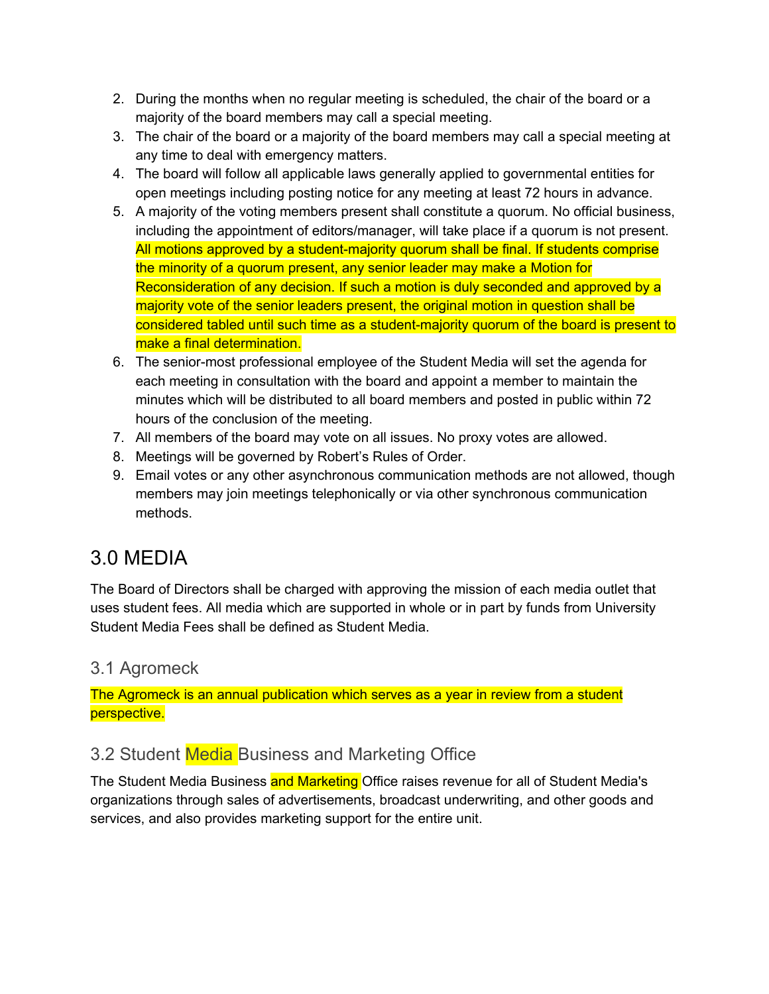- 2. During the months when no regular meeting is scheduled, the chair of the board or a majority of the board members may call a special meeting.
- 3. The chair of the board or a majority of the board members may call a special meeting at any time to deal with emergency matters.
- 4. The board will follow all applicable laws generally applied to governmental entities for open meetings including posting notice for any meeting at least 72 hours in advance.
- 5. A majority of the voting members present shall constitute a quorum. No official business, including the appointment of editors/manager, will take place if a quorum is not present. All motions approved by a student-majority quorum shall be final. If students comprise the minority of a quorum present, any senior leader may make a Motion for Reconsideration of any decision. If such a motion is duly seconded and approved by a majority vote of the senior leaders present, the original motion in question shall be considered tabled until such time as a student-majority quorum of the board is present to make a final determination.
- 6. The senior-most professional employee of the Student Media will set the agenda for each meeting in consultation with the board and appoint a member to maintain the minutes which will be distributed to all board members and posted in public within 72 hours of the conclusion of the meeting.
- 7. All members of the board may vote on all issues. No proxy votes are allowed.
- 8. Meetings will be governed by Robert's Rules of Order.
- 9. Email votes or any other asynchronous communication methods are not allowed, though members may join meetings telephonically or via other synchronous communication methods.

# 3.0 MEDIA

 The Board of Directors shall be charged with approving the mission of each media outlet that uses student fees. All media which are supported in whole or in part by funds from University Student Media Fees shall be defined as Student Media.

## 3.1 Agromeck

 The Agromeck is an annual publication which serves as a year in review from a student perspective.

## 3.2 Student Media Business and Marketing Office

The Student Media Business and Marketing Office raises revenue for all of Student Media's organizations through sales of advertisements, broadcast underwriting, and other goods and services, and also provides marketing support for the entire unit.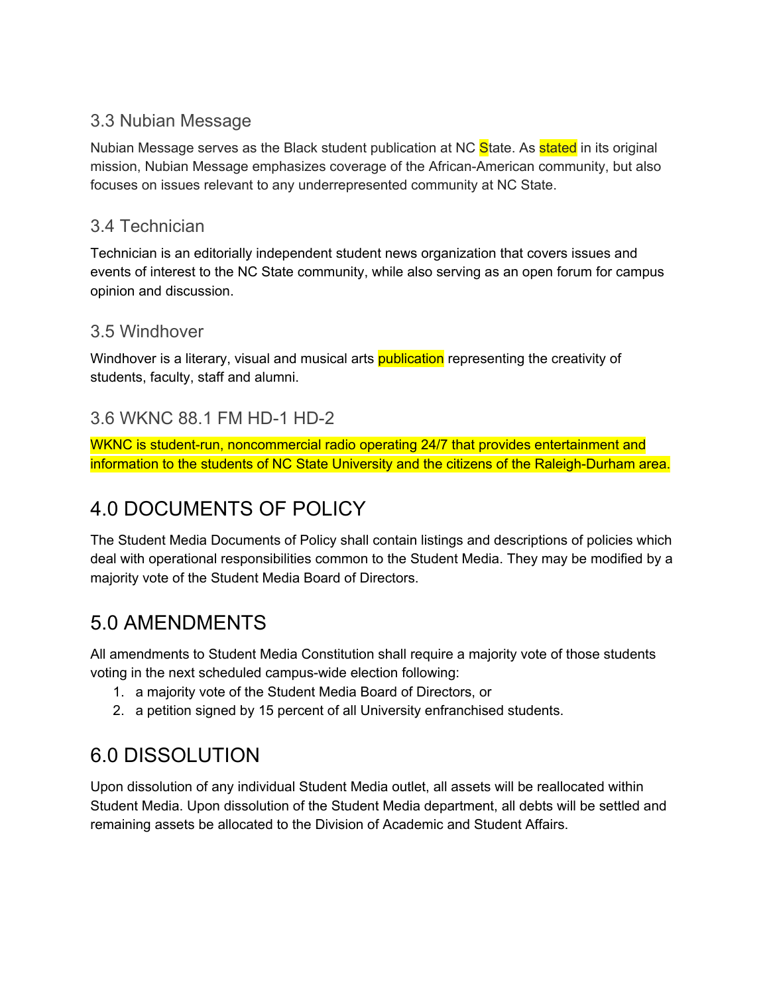## 3.3 Nubian Message

Nubian Message serves as the Black student publication at NC <mark>S</mark>tate. As <mark>stated</mark> in its original mission, Nubian Message emphasizes coverage of the African-American community, but also focuses on issues relevant to any underrepresented community at NC State.

## 3.4 Technician

 Technician is an editorially independent student news organization that covers issues and events of interest to the NC State community, while also serving as an open forum for campus opinion and discussion.

## 3.5 Windhover

Windhover is a literary, visual and musical arts <mark>publication</mark> representing the creativity of students, faculty, staff and alumni.

## 3.6 WKNC 88.1 FM HD-1 HD-2

 WKNC is student-run, noncommercial radio operating 24/7 that provides entertainment and information to the students of NC State University and the citizens of the Raleigh-Durham area.

# 4.0 DOCUMENTS OF POLICY

 The Student Media Documents of Policy shall contain listings and descriptions of policies which deal with operational responsibilities common to the Student Media. They may be modified by a majority vote of the Student Media Board of Directors.

# 5.0 AMENDMENTS

 All amendments to Student Media Constitution shall require a majority vote of those students voting in the next scheduled campus-wide election following:

- 1. a majority vote of the Student Media Board of Directors, or
- 2. a petition signed by 15 percent of all University enfranchised students.

# 6.0 DISSOLUTION

 Upon dissolution of any individual Student Media outlet, all assets will be reallocated within Student Media. Upon dissolution of the Student Media department, all debts will be settled and remaining assets be allocated to the Division of Academic and Student Affairs.